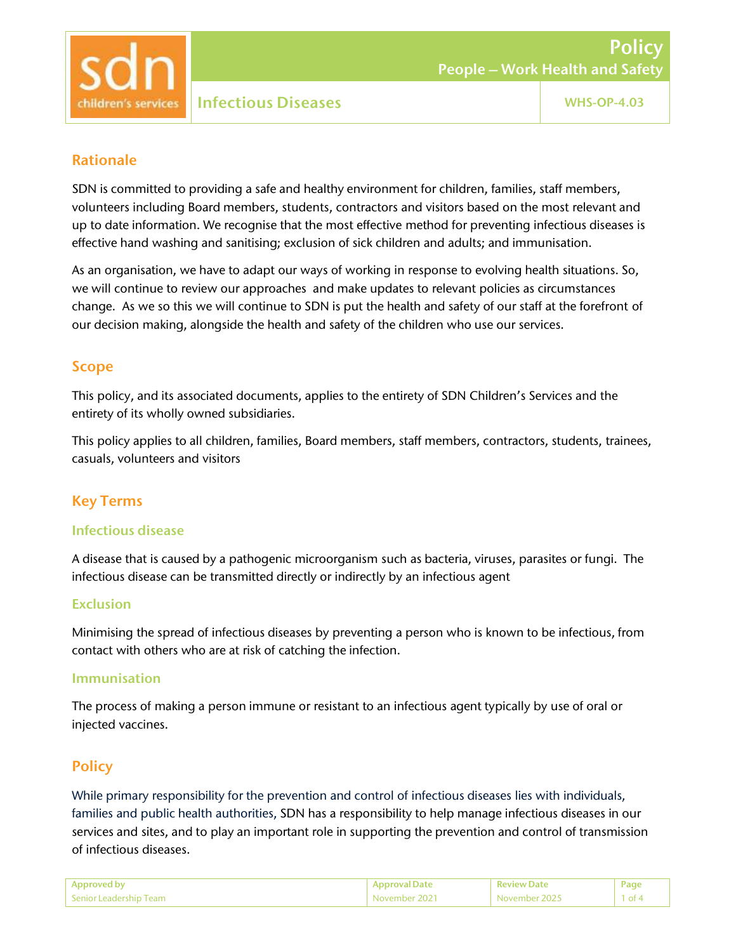

#### Rationale

SDN is committed to providing a safe and healthy environment for children, families, staff members, volunteers including Board members, students, contractors and visitors based on the most relevant and up to date information. We recognise that the most effective method for preventing infectious diseases is effective hand washing and sanitising; exclusion of sick children and adults; and immunisation.

As an organisation, we have to adapt our ways of working in response to evolving health situations. So, we will continue to review our approaches and make updates to relevant policies as circumstances change. As we so this we will continue to SDN is put the health and safety of our staff at the forefront of our decision making, alongside the health and safety of the children who use our services.

#### Scope

This policy, and its associated documents, applies to the entirety of SDN Children's Services and the entirety of its wholly owned subsidiaries.

This policy applies to all children, families, Board members, staff members, contractors, students, trainees, casuals, volunteers and visitors

## Key Terms

#### Infectious disease

A disease that is caused by a pathogenic microorganism such as bacteria, viruses, parasites or fungi. The infectious disease can be transmitted directly or indirectly by an infectious agent

#### Exclusion

Minimising the spread of infectious diseases by preventing a person who is known to be infectious, from contact with others who are at risk of catching the infection.

#### Immunisation

The process of making a person immune or resistant to an infectious agent typically by use of oral or injected vaccines.

## **Policy**

While primary responsibility for the prevention and control of infectious diseases lies with individuals, families and public health authorities, SDN has a responsibility to help manage infectious diseases in our services and sites, and to play an important role in supporting the prevention and control of transmission of infectious diseases.

| Approved by              | <b>Approval Date</b> | <b>Review Date</b> | Page          |
|--------------------------|----------------------|--------------------|---------------|
| l Senior Leadership Team | November 2021        | November 2025      | $1$ of $\sim$ |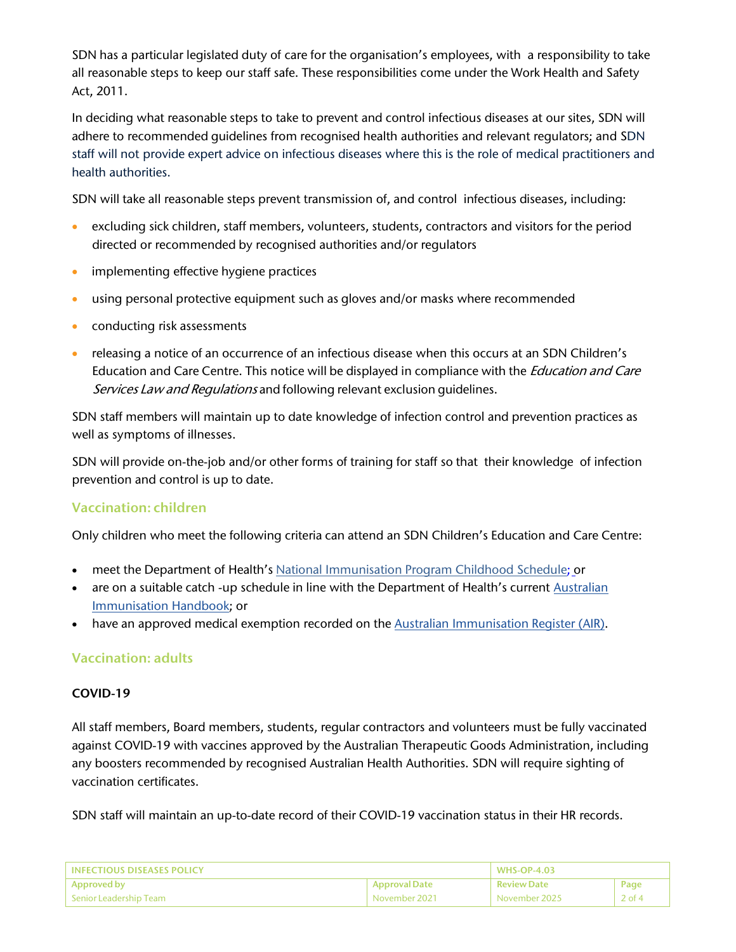SDN has a particular legislated duty of care for the organisation's employees, with a responsibility to take all reasonable steps to keep our staff safe. These responsibilities come under the Work Health and Safety Act, 2011.

In deciding what reasonable steps to take to prevent and control infectious diseases at our sites, SDN will adhere to recommended guidelines from recognised health authorities and relevant regulators; and SDN staff will not provide expert advice on infectious diseases where this is the role of medical practitioners and health authorities.

SDN will take all reasonable steps prevent transmission of, and control infectious diseases, including:

- excluding sick children, staff members, volunteers, students, contractors and visitors for the period directed or recommended by recognised authorities and/or regulators
- **•** implementing effective hygiene practices
- using personal protective equipment such as gloves and/or masks where recommended
- **•** conducting risk assessments
- releasing a notice of an occurrence of an infectious disease when this occurs at an SDN Children's Education and Care Centre. This notice will be displayed in compliance with the *Education and Care* Services Law and Regulations and following relevant exclusion quidelines.

SDN staff members will maintain up to date knowledge of infection control and prevention practices as well as symptoms of illnesses.

SDN will provide on-the-job and/or other forms of training for staff so that their knowledge of infection prevention and control is up to date.

## Vaccination: children

Only children who meet the following criteria can attend an SDN Children's Education and Care Centre:

- meet the Department of Health's National Immunisation Program Childhood Schedule; or
- are on a suitable catch -up schedule in line with the Department of Health's current Australian Immunisation Handbook; or
- have an approved medical exemption recorded on the Australian Immunisation Register (AIR).

## Vaccination: adults

#### COVID-19

All staff members, Board members, students, regular contractors and volunteers must be fully vaccinated against COVID-19 with vaccines approved by the Australian Therapeutic Goods Administration, including any boosters recommended by recognised Australian Health Authorities. SDN will require sighting of vaccination certificates.

SDN staff will maintain an up-to-date record of their COVID-19 vaccination status in their HR records.

| L INFECTIOUS DISEASES POLICY. |                      | <b>WHS-OP-4.03</b> |          |
|-------------------------------|----------------------|--------------------|----------|
| Approved by                   | <b>Approval Date</b> | <b>Review Date</b> | Page     |
| Senior Leadership Team        | November 2021        | November 2025      | $2$ of 4 |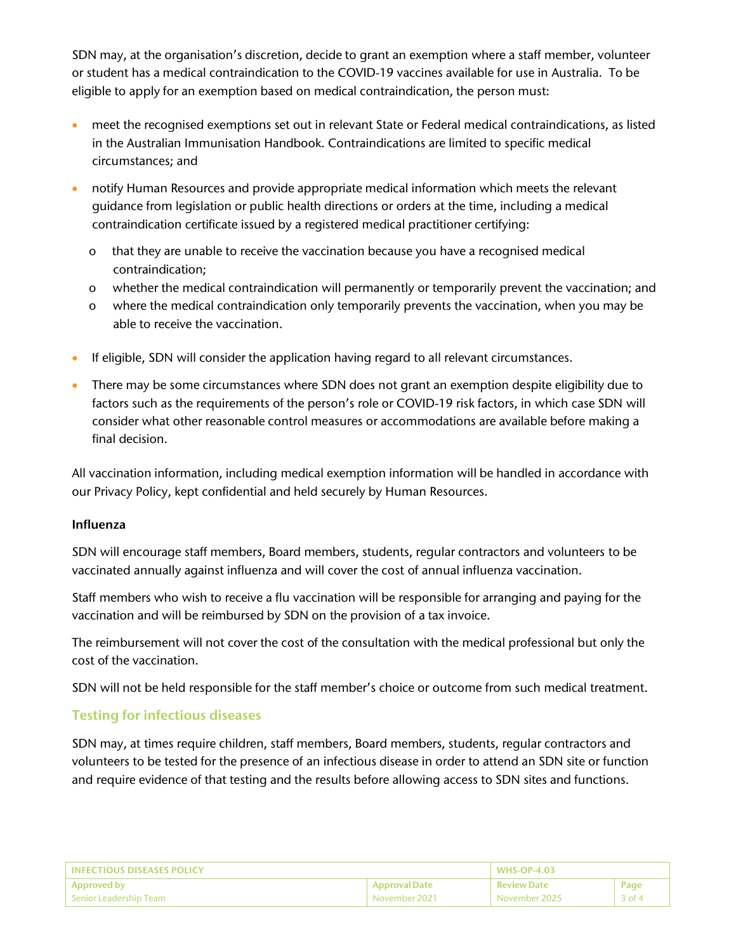SDN may, at the organisation's discretion, decide to grant an exemption where a staff member, volunteer or student has a medical contraindication to the COVID-19 vaccines available for use in Australia. To be eligible to apply for an exemption based on medical contraindication, the person must:

- meet the recognised exemptions set out in relevant State or Federal medical contraindications, as listed in the Australian Immunisation Handbook. Contraindications are limited to specific medical circumstances; and
- notify Human Resources and provide appropriate medical information which meets the relevant guidance from legislation or public health directions or orders at the time, including a medical contraindication certificate issued by a registered medical practitioner certifying:
	- o that they are unable to receive the vaccination because you have a recognised medical contraindication;
	- o whether the medical contraindication will permanently or temporarily prevent the vaccination; and
	- o where the medical contraindication only temporarily prevents the vaccination, when you may be able to receive the vaccination.
- If eligible, SDN will consider the application having regard to all relevant circumstances.
- There may be some circumstances where SDN does not grant an exemption despite eligibility due to factors such as the requirements of the person's role or COVID-19 risk factors, in which case SDN will consider what other reasonable control measures or accommodations are available before making a final decision.

All vaccination information, including medical exemption information will be handled in accordance with our Privacy Policy, kept confidential and held securely by Human Resources.

#### Influenza

SDN will encourage staff members, Board members, students, regular contractors and volunteers to be vaccinated annually against influenza and will cover the cost of annual influenza vaccination.

Staff members who wish to receive a flu vaccination will be responsible for arranging and paying for the vaccination and will be reimbursed by SDN on the provision of a tax invoice.

The reimbursement will not cover the cost of the consultation with the medical professional but only the cost of the vaccination.

SDN will not be held responsible for the staff member's choice or outcome from such medical treatment.

## Testing for infectious diseases

SDN may, at times require children, staff members, Board members, students, regular contractors and volunteers to be tested for the presence of an infectious disease in order to attend an SDN site or function and require evidence of that testing and the results before allowing access to SDN sites and functions.

| <b>LINEECTIOUS DISEASES POLICY</b> |                      | , WHS-OP-4.03      |          |
|------------------------------------|----------------------|--------------------|----------|
| Approved by                        | <b>Approval Date</b> | <b>Review Date</b> | Page     |
| Senior Leadership Team             | November 2021        | November 2025      | $3$ of 4 |